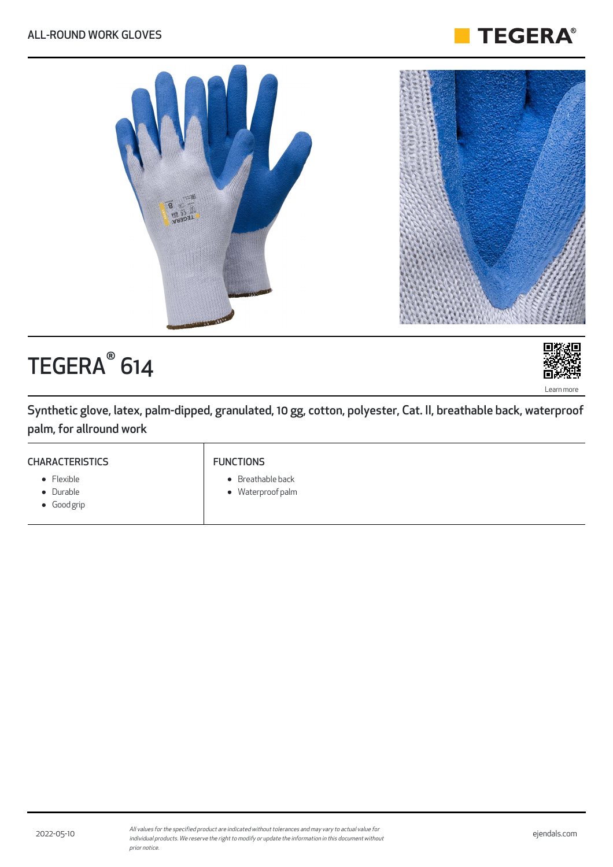



# TEGERA<sup>®</sup> 614



Synthetic glove, latex, palm-dipped, granulated, 10 gg, cotton, polyester, Cat. II, breathable back, waterproof palm, for allround work

#### **CHARACTERISTICS**

## • Flexible

- Durable
- Good grip

FUNCTIONS

- Breathable back
- Waterproof palm